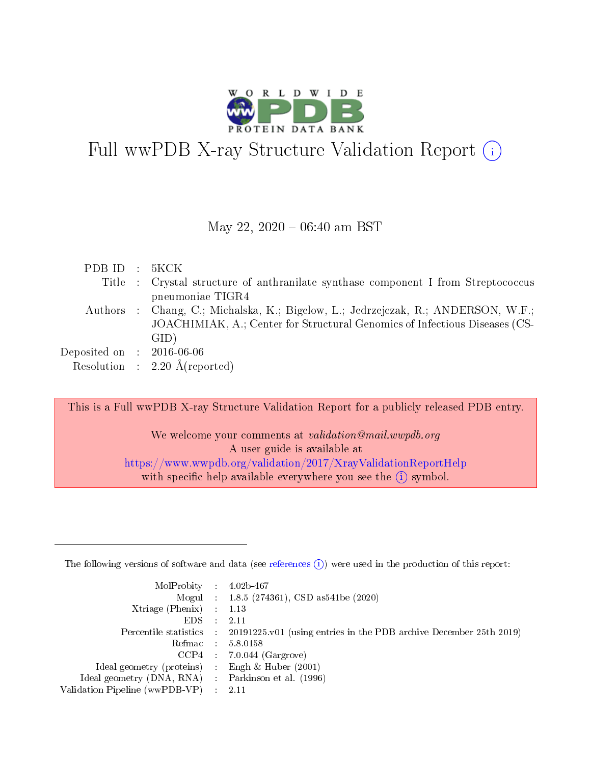

# Full wwPDB X-ray Structure Validation Report (i)

#### May 22,  $2020 - 06:40$  am BST

| PDBID : 5KCK                         |                                                                                   |
|--------------------------------------|-----------------------------------------------------------------------------------|
|                                      | Title : Crystal structure of anthranilate synthase component I from Streptococcus |
|                                      | pneumoniae TIGR4                                                                  |
|                                      | Authors : Chang, C.; Michalska, K.; Bigelow, L.; Jedrzejczak, R.; ANDERSON, W.F.; |
|                                      | JOACHIMIAK, A.; Center for Structural Genomics of Infectious Diseases (CS-        |
|                                      | GID)                                                                              |
| Deposited on $\therefore$ 2016-06-06 |                                                                                   |
|                                      | Resolution : $2.20 \text{ Å}$ (reported)                                          |

This is a Full wwPDB X-ray Structure Validation Report for a publicly released PDB entry.

We welcome your comments at *validation@mail.wwpdb.org* A user guide is available at <https://www.wwpdb.org/validation/2017/XrayValidationReportHelp> with specific help available everywhere you see the  $(i)$  symbol.

The following versions of software and data (see [references](https://www.wwpdb.org/validation/2017/XrayValidationReportHelp#references)  $(1)$ ) were used in the production of this report:

| $MolProbability$ : 4.02b-467                      |                              |                                                                                            |
|---------------------------------------------------|------------------------------|--------------------------------------------------------------------------------------------|
|                                                   |                              | Mogul : $1.8.5$ (274361), CSD as 541be (2020)                                              |
| Xtriage (Phenix) $: 1.13$                         |                              |                                                                                            |
| EDS –                                             | $\sim$                       | -2.11                                                                                      |
|                                                   |                              | Percentile statistics : 20191225.v01 (using entries in the PDB archive December 25th 2019) |
| Refmac : 5.8.0158                                 |                              |                                                                                            |
| CCP4                                              |                              | $7.0.044$ (Gargrove)                                                                       |
| Ideal geometry (proteins)                         | $\mathcal{L}_{\mathrm{eff}}$ | Engh & Huber $(2001)$                                                                      |
| Ideal geometry (DNA, RNA) Parkinson et al. (1996) |                              |                                                                                            |
| Validation Pipeline (wwPDB-VP) : 2.11             |                              |                                                                                            |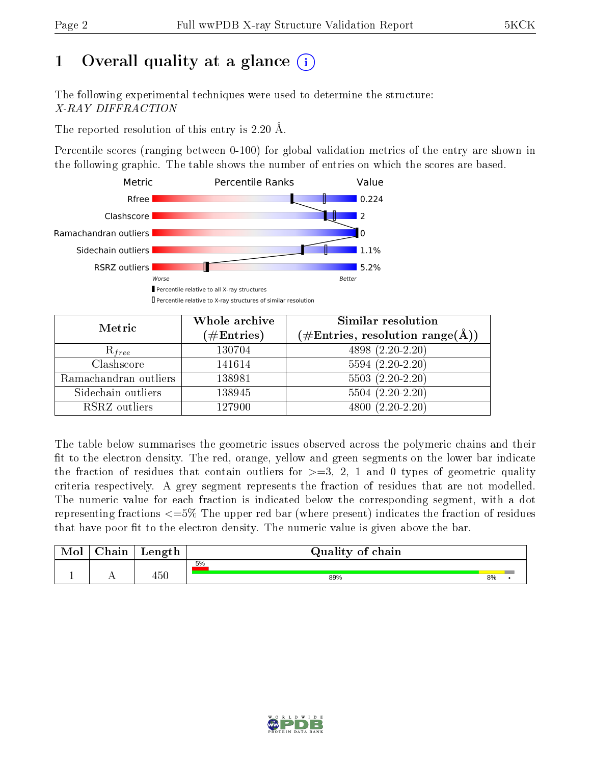## 1 [O](https://www.wwpdb.org/validation/2017/XrayValidationReportHelp#overall_quality)verall quality at a glance  $(i)$

The following experimental techniques were used to determine the structure: X-RAY DIFFRACTION

The reported resolution of this entry is 2.20 Å.

Percentile scores (ranging between 0-100) for global validation metrics of the entry are shown in the following graphic. The table shows the number of entries on which the scores are based.



| Metric                | Whole archive<br>$(\#\mathrm{Entries})$ | Similar resolution<br>$(\#\text{Entries}, \text{resolution range}(\text{\AA}))$ |
|-----------------------|-----------------------------------------|---------------------------------------------------------------------------------|
| $R_{free}$            | 130704                                  | 4898 (2.20-2.20)                                                                |
| Clashscore            | 141614                                  | $5594(2.20-2.20)$                                                               |
| Ramachandran outliers | 138981                                  | $\overline{5503}$ $(2.20-2.20)$                                                 |
| Sidechain outliers    | 138945                                  | $5504(2.20-2.20)$                                                               |
| RSRZ outliers         | 127900                                  | $4800(2.20-2.20)$                                                               |

The table below summarises the geometric issues observed across the polymeric chains and their fit to the electron density. The red, orange, yellow and green segments on the lower bar indicate the fraction of residues that contain outliers for  $>=3, 2, 1$  and 0 types of geometric quality criteria respectively. A grey segment represents the fraction of residues that are not modelled. The numeric value for each fraction is indicated below the corresponding segment, with a dot representing fractions  $\epsilon=5\%$  The upper red bar (where present) indicates the fraction of residues that have poor fit to the electron density. The numeric value is given above the bar.

| Mol | $\cap$ hain | Length | Quality of chain |    |  |
|-----|-------------|--------|------------------|----|--|
|     |             |        | 5%               |    |  |
|     |             | 450    | 89%              | 8% |  |

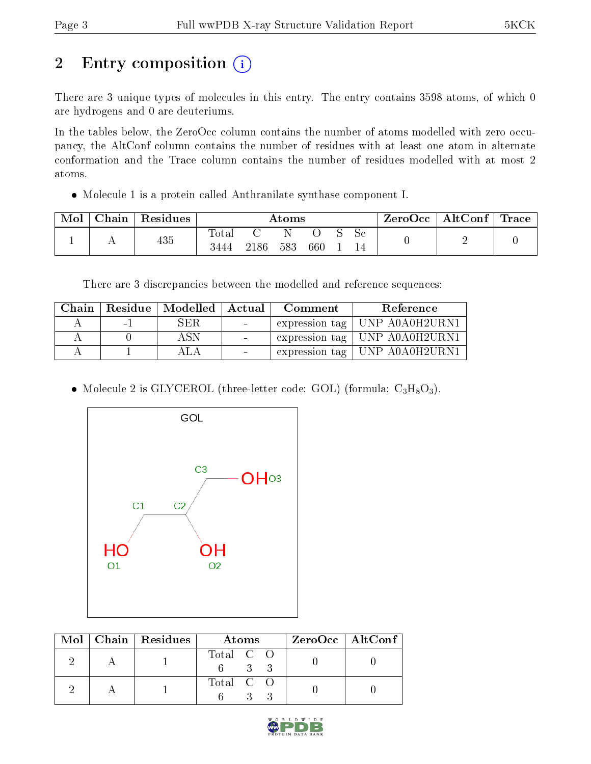## 2 Entry composition (i)

There are 3 unique types of molecules in this entry. The entry contains 3598 atoms, of which 0 are hydrogens and 0 are deuteriums.

In the tables below, the ZeroOcc column contains the number of atoms modelled with zero occupancy, the AltConf column contains the number of residues with at least one atom in alternate conformation and the Trace column contains the number of residues modelled with at most 2 atoms.

Molecule 1 is a protein called Anthranilate synthase component I.

| Mol | $\text{Chain}$ | $^{\shortmid}$ Residues $_{\shortmid}$ | Atoms                  |      |     |     | ZeroOcc | $\vert$ AltConf $\vert$ | $\mid$ Trace $\mid$ |   |  |
|-----|----------------|----------------------------------------|------------------------|------|-----|-----|---------|-------------------------|---------------------|---|--|
|     | . .            | 435                                    | $\text{Total}$<br>3444 | 2186 | 583 | 660 |         | Sе<br>14                |                     | - |  |

There are 3 discrepancies between the modelled and reference sequences:

| Chain |      |      |                          | Residue   Modelled   Actual   Comment | Reference                       |
|-------|------|------|--------------------------|---------------------------------------|---------------------------------|
|       | $-1$ | SER. | <b>Contract Contract</b> |                                       | expression tag   UNP A0A0H2URN1 |
|       |      | A SN | $\sim$                   |                                       | expression tag   UNP A0A0H2URN1 |
|       |      |      |                          |                                       | expression tag   UNP A0A0H2URN1 |

• Molecule 2 is GLYCEROL (three-letter code: GOL) (formula:  $C_3H_8O_3$ ).



|  | $Mol$   Chain   Residues | Atoms                | $ZeroOcc \   \ AltConf \  $ |
|--|--------------------------|----------------------|-----------------------------|
|  |                          | Total C O<br>$3 - 3$ |                             |
|  |                          | Total C O            |                             |

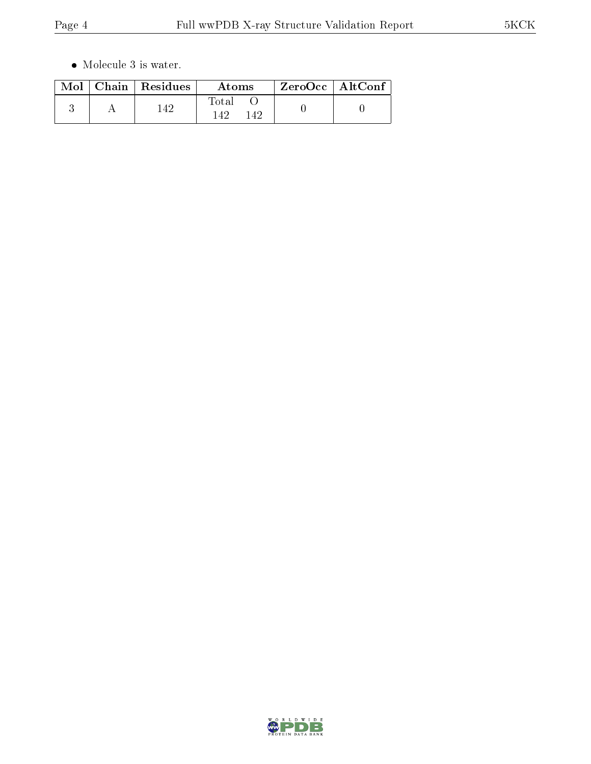$\bullet\,$  Molecule 3 is water.

|  | $Mol$   Chain   Residues | Atoms                      | $ZeroOcc \   \ AltConf$ |  |
|--|--------------------------|----------------------------|-------------------------|--|
|  | 42                       | $\rm Total$<br>142.<br>149 |                         |  |

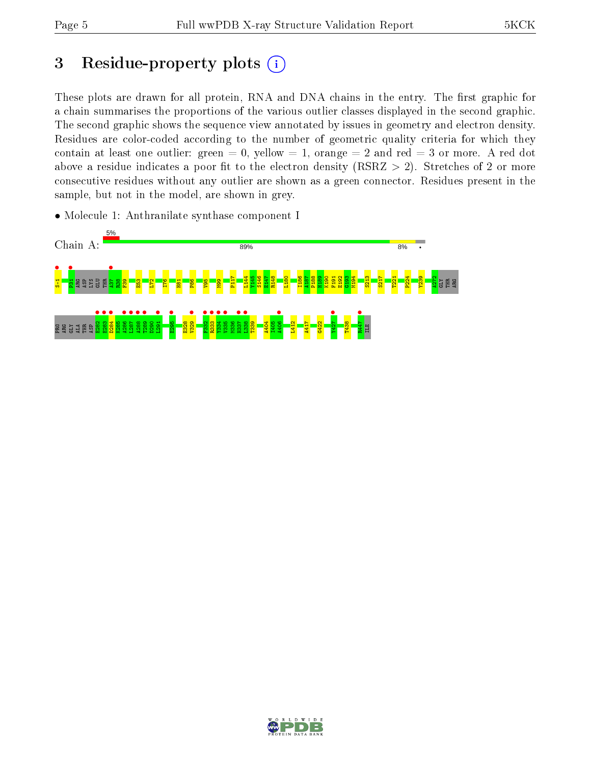## 3 Residue-property plots  $(i)$

These plots are drawn for all protein, RNA and DNA chains in the entry. The first graphic for a chain summarises the proportions of the various outlier classes displayed in the second graphic. The second graphic shows the sequence view annotated by issues in geometry and electron density. Residues are color-coded according to the number of geometric quality criteria for which they contain at least one outlier: green  $= 0$ , yellow  $= 1$ , orange  $= 2$  and red  $= 3$  or more. A red dot above a residue indicates a poor fit to the electron density (RSRZ  $> 2$ ). Stretches of 2 or more consecutive residues without any outlier are shown as a green connector. Residues present in the sample, but not in the model, are shown in grey.

• Molecule 1: Anthranilate synthase component I



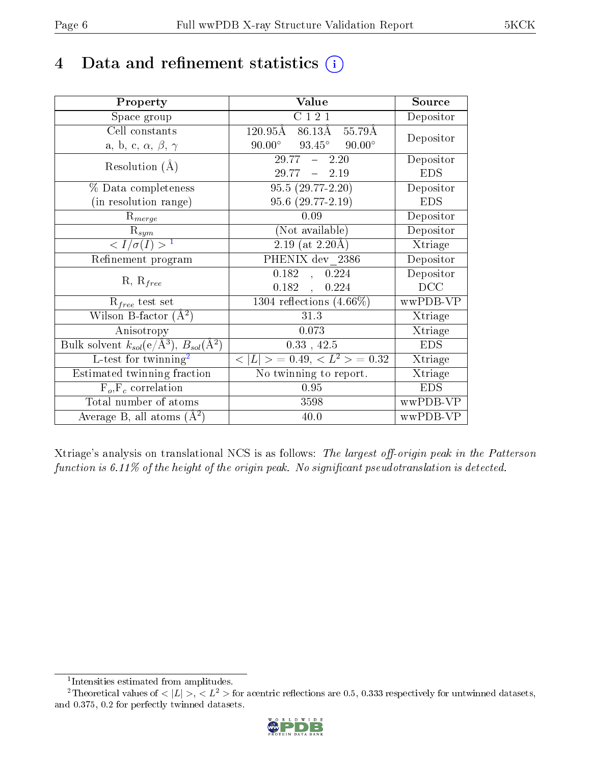## 4 Data and refinement statistics  $(i)$

| Property                                                             | Value                                              | Source                       |
|----------------------------------------------------------------------|----------------------------------------------------|------------------------------|
| Space group                                                          | C121                                               | Depositor                    |
| Cell constants                                                       | $120.\overline{95A}$<br>$86.13\AA$ 55.79Å          | Depositor                    |
| a, b, c, $\alpha$ , $\beta$ , $\gamma$                               | $93.45^{\circ}$ $90.00^{\circ}$<br>$90.00^{\circ}$ |                              |
| Resolution $(A)$                                                     | $29.77 - 2.20$                                     | Depositor                    |
|                                                                      | $29.77 - 2.19$                                     | <b>EDS</b>                   |
| % Data completeness                                                  | $95.5(29.77-2.20)$                                 | Depositor                    |
| (in resolution range)                                                | 95.6 (29.77-2.19)                                  | <b>EDS</b>                   |
| $R_{merge}$                                                          | 0.09                                               | Depositor                    |
| $R_{sym}$                                                            | (Not available)                                    | Depositor                    |
| $\langle I/\sigma(I) \rangle^{-1}$                                   | $2.19$ (at 2.20Å)                                  | Xtriage                      |
| Refinement program                                                   | PHENIX dev 2386                                    | Depositor                    |
|                                                                      | 0.182<br>, 0.224                                   | Depositor                    |
| $R, R_{free}$                                                        | $0.182$ ,<br>0.224                                 | DCC                          |
| $R_{free}$ test set                                                  | 1304 reflections $(4.66\%)$                        | wwPDB-VP                     |
| Wilson B-factor $(A^2)$                                              | 31.3                                               | Xtriage                      |
| Anisotropy                                                           | 0.073                                              | Xtriage                      |
| Bulk solvent $k_{sol}(e/\mathring{A}^3)$ , $B_{sol}(\mathring{A}^2)$ | 0.33, 42.5                                         | <b>EDS</b>                   |
| L-test for twinning <sup>2</sup>                                     | $< L >$ = 0.49, $< L2$ > = 0.32                    | Xtriage                      |
| Estimated twinning fraction                                          | No twinning to report.                             | $\overline{\text{X}}$ triage |
| $F_o, F_c$ correlation                                               | 0.95                                               | <b>EDS</b>                   |
| Total number of atoms                                                | 3598                                               | wwPDB-VP                     |
| Average B, all atoms $(A^2)$                                         | 40.0                                               | wwPDB-VP                     |

Xtriage's analysis on translational NCS is as follows: The largest off-origin peak in the Patterson function is  $6.11\%$  of the height of the origin peak. No significant pseudotranslation is detected.

<sup>&</sup>lt;sup>2</sup>Theoretical values of  $\langle |L| \rangle$ ,  $\langle L^2 \rangle$  for acentric reflections are 0.5, 0.333 respectively for untwinned datasets, and 0.375, 0.2 for perfectly twinned datasets.



<span id="page-5-1"></span><span id="page-5-0"></span><sup>1</sup> Intensities estimated from amplitudes.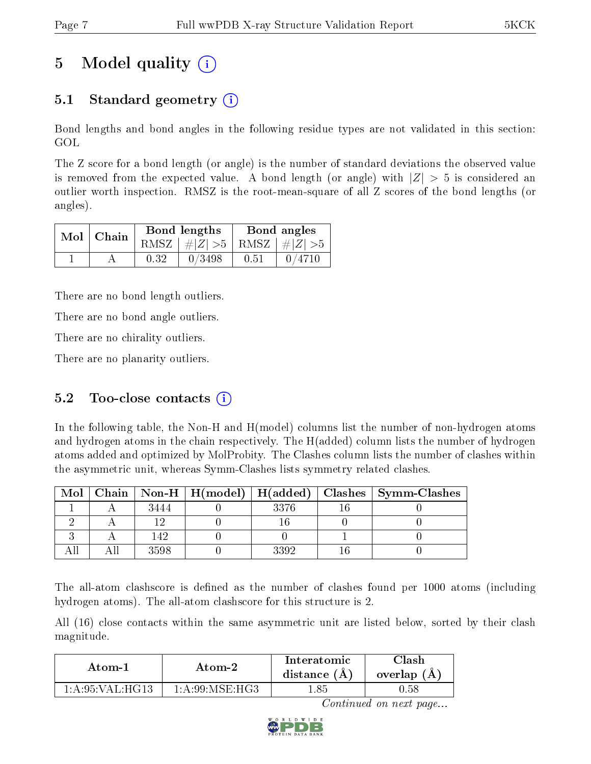## 5 Model quality  $(i)$

### 5.1 Standard geometry  $\overline{()}$

Bond lengths and bond angles in the following residue types are not validated in this section: GOL

The Z score for a bond length (or angle) is the number of standard deviations the observed value is removed from the expected value. A bond length (or angle) with  $|Z| > 5$  is considered an outlier worth inspection. RMSZ is the root-mean-square of all Z scores of the bond lengths (or angles).

| $Mol$   Chain |      | Bond lengths                    | Bond angles |        |  |
|---------------|------|---------------------------------|-------------|--------|--|
|               |      | RMSZ $ #Z  > 5$ RMSZ $ #Z  > 5$ |             |        |  |
|               | 0.32 | 0/3498                          | 0.51        | 0/4710 |  |

There are no bond length outliers.

There are no bond angle outliers.

There are no chirality outliers.

There are no planarity outliers.

#### 5.2 Too-close contacts  $(i)$

In the following table, the Non-H and H(model) columns list the number of non-hydrogen atoms and hydrogen atoms in the chain respectively. The H(added) column lists the number of hydrogen atoms added and optimized by MolProbity. The Clashes column lists the number of clashes within the asymmetric unit, whereas Symm-Clashes lists symmetry related clashes.

| Mol |      |      | Chain   Non-H   H(model)   H(added)   Clashes   Symm-Clashes |
|-----|------|------|--------------------------------------------------------------|
|     | 3444 | 3376 |                                                              |
|     |      |      |                                                              |
|     | 149  |      |                                                              |
|     | 3598 |      |                                                              |

The all-atom clashscore is defined as the number of clashes found per 1000 atoms (including hydrogen atoms). The all-atom clashscore for this structure is 2.

All (16) close contacts within the same asymmetric unit are listed below, sorted by their clash magnitude.

| Atom-1            | Atom-2            | Interatomic<br>distance $(A)$ | 7lash<br>overlap (A) |
|-------------------|-------------------|-------------------------------|----------------------|
| 1: A:95: VAL:HG13 | 1: A:99: MSE: HG3 |                               | 0.58                 |

Continued on next page...

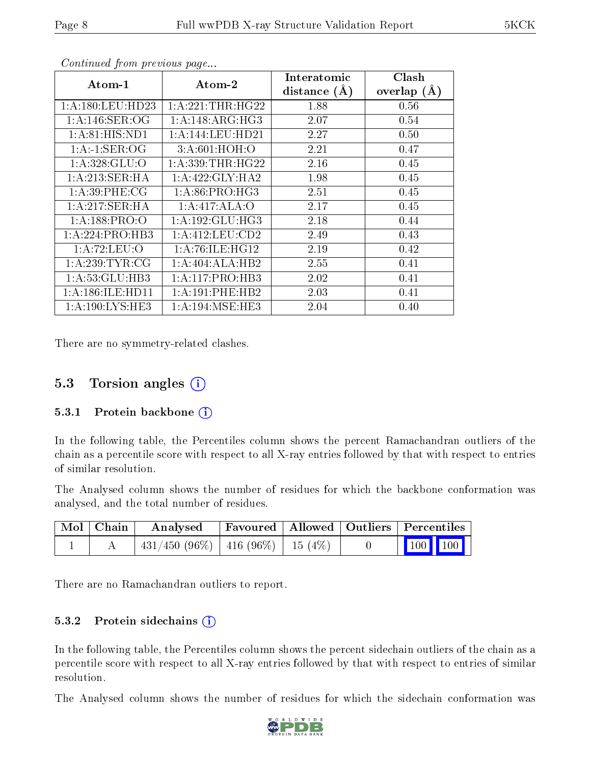| Atom-1             | $\boldsymbol{\mathrm{Atom}\text{-}2}$ | Interatomic    | <b>Clash</b>  |
|--------------------|---------------------------------------|----------------|---------------|
|                    |                                       | distance $(A)$ | overlap $(A)$ |
| 1:A:180:LEU:HD23   | 1: A:221:THR:HG22                     | 1.88           | 0.56          |
| 1: A:146: SER:OG   | 1: A:148: ARG: HG3                    | 2.07           | 0.54          |
| 1: A:81: HIS: ND1  | 1:A:144:LEU:HD21                      | 2.27           | 0.50          |
| 1:A:1:SER:OG       | 3:A:601:HOH:O                         | 2.21           | 0.47          |
| 1: A:328: GLU:O    | 1: A: 339: THR: HG22                  | 2.16           | 0.45          |
| 1:A:213:SER:HA     | 1: A: 422: GLY: HA2                   | 1.98           | 0.45          |
| 1: A:39:PHE:CG     | 1:A:86:PRO:HG3                        | 2.51           | 0.45          |
| 1:A:217:SER:HA     | 1:A:417:ALA:O                         | 2.17           | 0.45          |
| 1: A: 188: PRO: O  | 1:A:192:GLU:HG3                       | 2.18           | 0.44          |
| 1:A:224:PRO:HB3    | 1: A:412:LEU:CD2                      | 2.49           | 0.43          |
| 1:A:72:LEU:O       | 1:A:76:ILE:HG12                       | 2.19           | 0.42          |
| 1: A:239:TYR:CG    | 1:A:404:ALA:HB2                       | 2.55           | 0.41          |
| 1:A:53:GLU:HB3     | 1: A: 117: PRO: HB3                   | 2.02           | 0.41          |
| 1:A:186:ILE:HD11   | 1: A:191:PHE:HB2                      | 2.03           | 0.41          |
| 1: A:190: LYS: HE3 | 1: A:194: MSE:HE3                     | 2.04           | 0.40          |

Continued from previous page...

There are no symmetry-related clashes.

### 5.3 Torsion angles  $(i)$

#### 5.3.1 Protein backbone  $(i)$

In the following table, the Percentiles column shows the percent Ramachandran outliers of the chain as a percentile score with respect to all X-ray entries followed by that with respect to entries of similar resolution.

The Analysed column shows the number of residues for which the backbone conformation was analysed, and the total number of residues.

| Mol   Chain | Analysed                                 |  | Favoured   Allowed   Outliers   Percentiles |                                                                                   |
|-------------|------------------------------------------|--|---------------------------------------------|-----------------------------------------------------------------------------------|
|             | $431/450$ (96\%)   416 (96\%)   15 (4\%) |  |                                             | $\begin{array}{ c c c c c c c c c } \hline \text{100} & \text{100} & \end{array}$ |

There are no Ramachandran outliers to report.

#### 5.3.2 Protein sidechains (i)

In the following table, the Percentiles column shows the percent sidechain outliers of the chain as a percentile score with respect to all X-ray entries followed by that with respect to entries of similar resolution.

The Analysed column shows the number of residues for which the sidechain conformation was

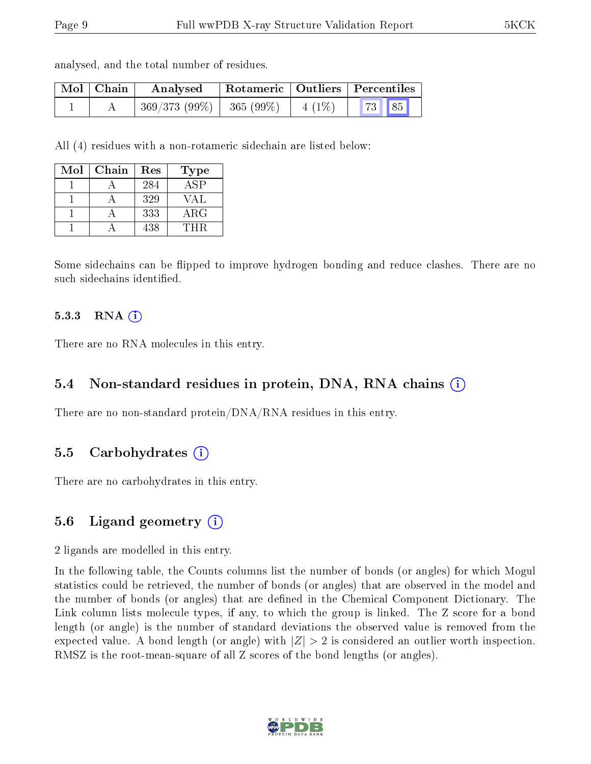analysed, and the total number of residues.

| Mol   Chain | Analysed                   | Rotameric   Outliers   Percentiles |          |       |  |
|-------------|----------------------------|------------------------------------|----------|-------|--|
|             | $369/373(99\%)$ 365 (99\%) |                                    | $4(1\%)$ | 73 85 |  |

All (4) residues with a non-rotameric sidechain are listed below:

| Mol | Chain | Res | <b>Type</b>      |
|-----|-------|-----|------------------|
|     |       | 284 | $AS\overline{P}$ |
|     |       | 329 | VAL              |
|     |       | 333 | ${\rm ARG}$      |
|     |       | 438 | THR              |

Some sidechains can be flipped to improve hydrogen bonding and reduce clashes. There are no such sidechains identified.

#### 5.3.3 RNA [O](https://www.wwpdb.org/validation/2017/XrayValidationReportHelp#rna)i

There are no RNA molecules in this entry.

#### 5.4 Non-standard residues in protein, DNA, RNA chains (i)

There are no non-standard protein/DNA/RNA residues in this entry.

#### 5.5 Carbohydrates (i)

There are no carbohydrates in this entry.

#### 5.6 Ligand geometry (i)

2 ligands are modelled in this entry.

In the following table, the Counts columns list the number of bonds (or angles) for which Mogul statistics could be retrieved, the number of bonds (or angles) that are observed in the model and the number of bonds (or angles) that are defined in the Chemical Component Dictionary. The Link column lists molecule types, if any, to which the group is linked. The Z score for a bond length (or angle) is the number of standard deviations the observed value is removed from the expected value. A bond length (or angle) with  $|Z| > 2$  is considered an outlier worth inspection. RMSZ is the root-mean-square of all Z scores of the bond lengths (or angles).

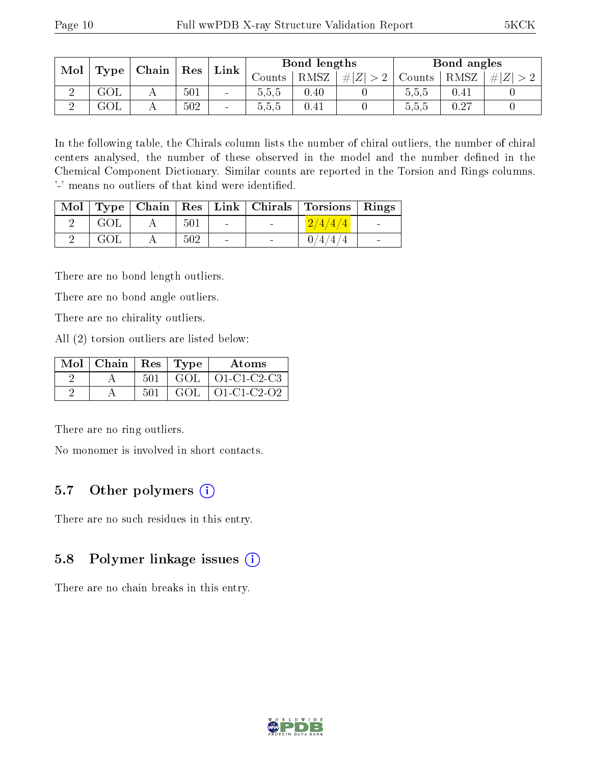| Mol |     | $\vert$ Type $\vert$ Chain $\vert$ Res |     |                | Bond lengths |      |             | Bond angles |      |             |
|-----|-----|----------------------------------------|-----|----------------|--------------|------|-------------|-------------|------|-------------|
|     |     |                                        |     | $Link \,  $    | Counts I     | RMSZ | # $ Z  > 2$ | Counts      | RMSZ | $\# Z  > 2$ |
|     | GOL |                                        | 501 | $\blacksquare$ | 5,5,5        | 0.40 |             | 0.5.5       | 0.41 |             |
|     | GOL |                                        | 502 | $\blacksquare$ | 5,5,5        | 0.41 |             | 5.5.5       | 0.27 |             |

In the following table, the Chirals column lists the number of chiral outliers, the number of chiral centers analysed, the number of these observed in the model and the number defined in the Chemical Component Dictionary. Similar counts are reported in the Torsion and Rings columns. '-' means no outliers of that kind were identified.

|     |     |                          |                          | Mol   Type   Chain   Res   Link   Chirals   Torsions   Rings |                          |
|-----|-----|--------------------------|--------------------------|--------------------------------------------------------------|--------------------------|
| GOL | 501 | <b>Contract Contract</b> | $\sim$                   | 2/4/4/4                                                      | <b>Contract Contract</b> |
| GOL | 502 | $\sim 100$               | <b>Contract Contract</b> | 0/4/4/4                                                      | <b>Contract</b>          |

There are no bond length outliers.

There are no bond angle outliers.

There are no chirality outliers.

All (2) torsion outliers are listed below:

| Mol $\vert$ Chain $\vert$ Res $\vert$ Type |     |     | Atoms                          |
|--------------------------------------------|-----|-----|--------------------------------|
|                                            | 501 |     | $\overline{GOL}$   O1-C1-C2-C3 |
|                                            | 501 | GOL | $\vert$ O1-C1-C2-O2            |

There are no ring outliers.

No monomer is involved in short contacts.

### 5.7 [O](https://www.wwpdb.org/validation/2017/XrayValidationReportHelp#nonstandard_residues_and_ligands)ther polymers (i)

There are no such residues in this entry.

### 5.8 Polymer linkage issues (i)

There are no chain breaks in this entry.

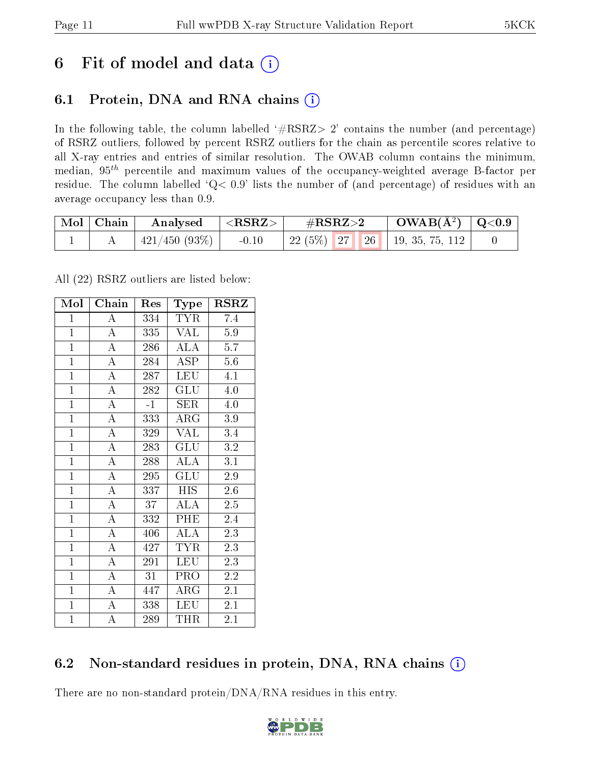## 6 Fit of model and data  $(i)$

### 6.1 Protein, DNA and RNA chains  $(i)$

In the following table, the column labelled  $#RSRZ> 2'$  contains the number (and percentage) of RSRZ outliers, followed by percent RSRZ outliers for the chain as percentile scores relative to all X-ray entries and entries of similar resolution. The OWAB column contains the minimum, median,  $95<sup>th</sup>$  percentile and maximum values of the occupancy-weighted average B-factor per residue. The column labelled ' $Q< 0.9$ ' lists the number of (and percentage) of residues with an average occupancy less than 0.9.

| $\mid$ Mol $\mid$ Chain | Analysed           | $^+$ <rsrz></rsrz> | $\#\text{RSRZ}\text{>2}$ |  | $\text{OWAB}(\text{A}^2) \mid \text{Q}<0.9$ |  |
|-------------------------|--------------------|--------------------|--------------------------|--|---------------------------------------------|--|
|                         | $+421/450(93\%) +$ | $-0.10$            |                          |  | 22 (5%)   27   26   19, 35, 75, 112         |  |

All (22) RSRZ outliers are listed below:

| Mol            | $\overline{\text{Chain}}$ | Res  | Type                               | <b>RSRZ</b> |
|----------------|---------------------------|------|------------------------------------|-------------|
| $\mathbf{1}$   | $\bf{A}$                  | 334  | <b>TYR</b>                         | 7.4         |
| $\overline{1}$ | $\overline{\rm A}$        | 335  | VAL                                | $5.9\,$     |
| $\overline{1}$ | $\overline{A}$            | 286  | ALA                                | 5.7         |
| $\overline{1}$ | $\overline{\rm A}$        | 284  | ASP                                | 5.6         |
| $\mathbf{1}$   | $\overline{A}$            | 287  | <b>LEU</b>                         | 4.1         |
| $\mathbf{1}$   | $\overline{\rm A}$        | 282  | GLU                                | 4.0         |
| $\mathbf{1}$   | $\overline{\rm A}$        | $-1$ | SER                                | 4.0         |
| $\mathbf{1}$   | $\overline{A}$            | 333  | $\rm{ARG}$                         | 3.9         |
| $\overline{1}$ | $\overline{A}$            | 329  | VAL                                | 3.4         |
| $\overline{1}$ | $\overline{A}$            | 283  | GLU                                | 3.2         |
| $\mathbf{1}$   | $\overline{A}$            | 288  | $\mathrm{AL}\overline{\mathrm{A}}$ | 3.1         |
| $\mathbf{1}$   | $\overline{A}$            | 295  | GLU                                | $2.9\,$     |
| $\overline{1}$ | $\overline{\rm A}$        | 337  | <b>HIS</b>                         | 2.6         |
| $\overline{1}$ | $\overline{A}$            | 37   | $AL\overline{A}$                   | 2.5         |
| $\overline{1}$ | $\overline{A}$            | 332  | PHE                                | 2.4         |
| $\mathbf{1}$   | $\overline{A}$            | 406  | <b>ALA</b>                         | 2.3         |
| $\mathbf{1}$   | $\overline{\rm A}$        | 427  | <b>TYR</b>                         | 2.3         |
| $\mathbf{1}$   | $\overline{A}$            | 291  | <b>LEU</b>                         | 2.3         |
| $\overline{1}$ | $\overline{\rm A}$        | 31   | PRO                                | 2.2         |
| $\overline{1}$ | $\overline{A}$            | 447  | ${\rm ARG}$                        | 2.1         |
| $\mathbf{1}$   | $\overline{A}$            | 338  | <b>LEU</b>                         | 2.1         |
| $\mathbf{1}$   | A                         | 289  | THR                                | 2.1         |

### 6.2 Non-standard residues in protein, DNA, RNA chains  $(i)$

There are no non-standard protein/DNA/RNA residues in this entry.